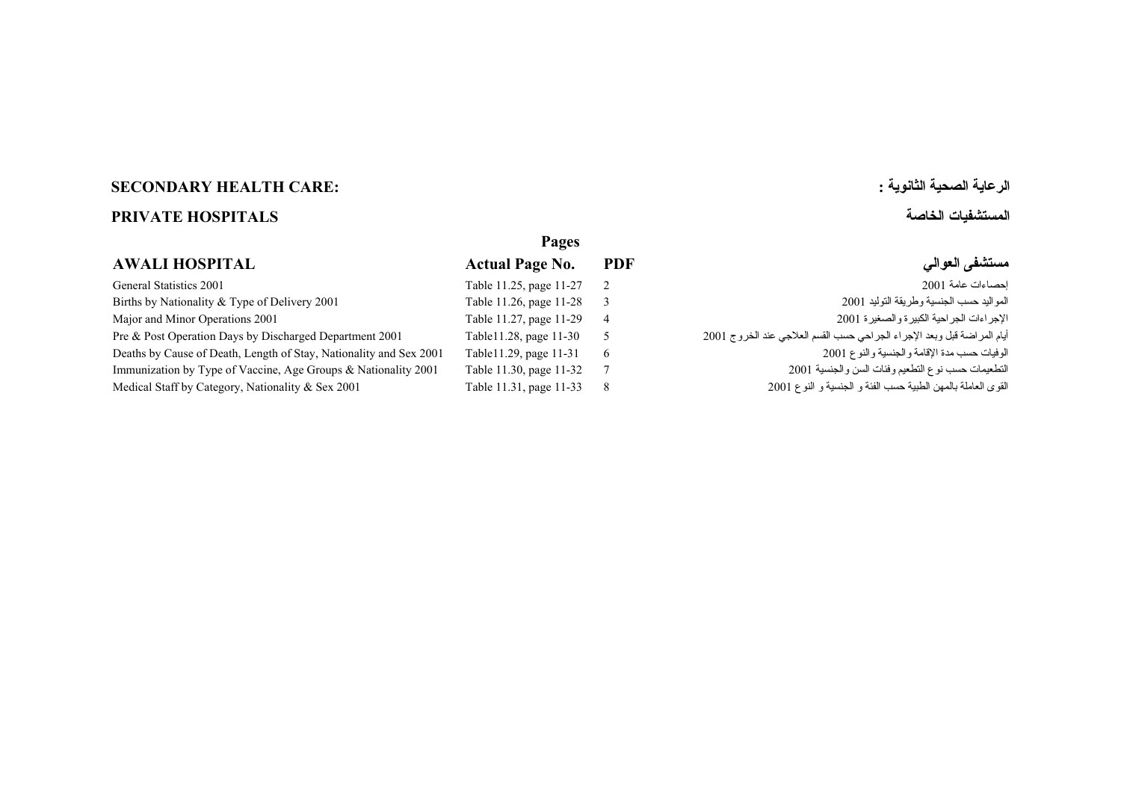# **الرعاية الصحية الثانوية : :CARE HEALTH SECONDARY**

# **المستشفيات الخاصة HOSPITALS PRIVATE**

### **Pages AWALI HOSPITAL Actual Page No. PDF العوالي مستشفى**  [Table 11.25, page 11-27](#page-1-0) General Statistics 2001 2 <sup>2001</sup> عامة إحصاءات Table 11.26, page 11-28 [Births by Nationality & Type of Delivery 2001 3](#page-2-0) <sup>2001</sup> التوليد وطريقة الجنسية حسب المواليد Table 11.27, page 11-29 [Major and Minor Operations 2001 4](#page-3-0) <sup>2001</sup> والصغيرة الكبيرة الجراحية الإجراءات أيام المراضة قبل وبعد الإجراء الجراحي حسب القسم العلاجي عند الخروج 2001 2001 2001 2001 Pre & Post Operation Days by Discharged Department 2001 1 2001 Table 11.28, page 11-30 Table11.29, page 11-31 [Deaths by Cause of Death, Length of Stay, Nationality and Sex 2001 6](#page-5-0) <sup>2001</sup> والنوع والجنسية الإقامة مدة حسب الوفيات Table 11.30, page 11-32 [Immunization by Type of Vaccine, Age Groups & Nationality 2001 7](#page-6-0) <sup>2001</sup> والجنسية السن وفئات التطعيم نوع حسب التطعيمات القوى العاملة بالمهن الطبية حسب الفئة و الجنسية و النوع 2001 2001 2001 11:31, page 11-33 مواطلقات المعن الطبية حسب الفئة و الجنسية و النوع 2001 12:31 Medical Staff by Category, Nationality & Sex 2001 11:31, page 11-33 ه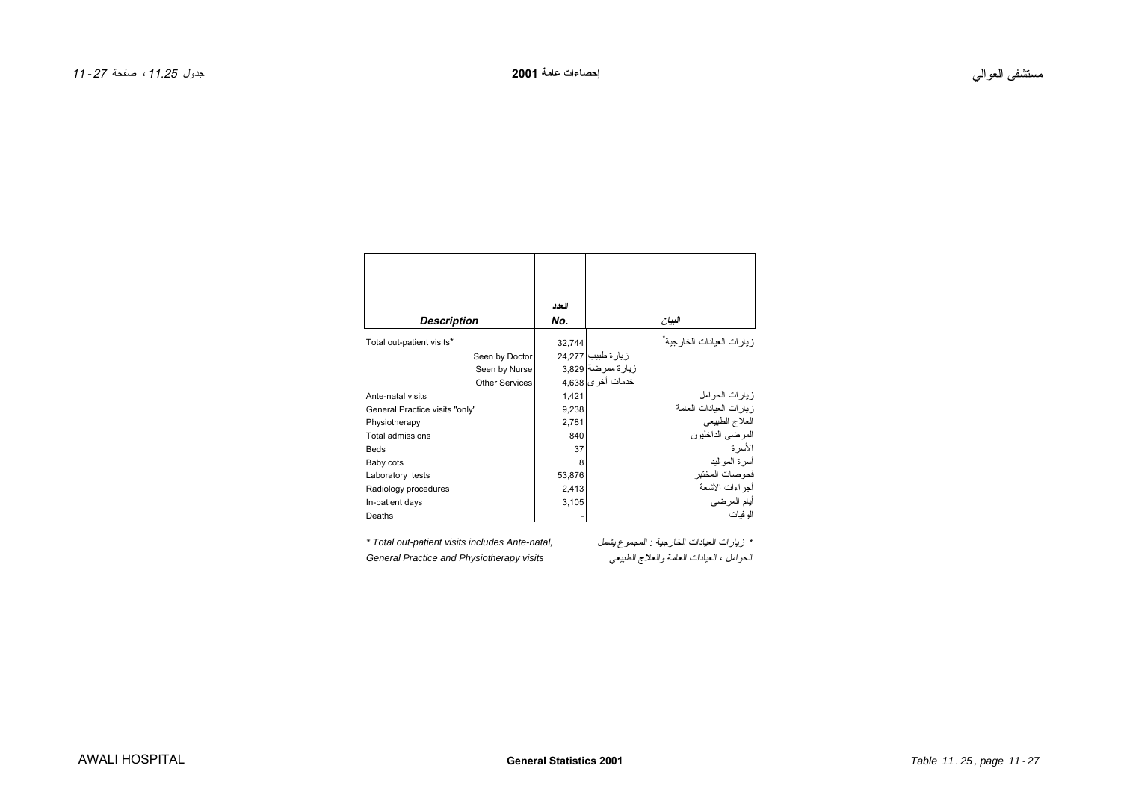<span id="page-1-0"></span>

|                                |                       | العدد  |                           |                            |
|--------------------------------|-----------------------|--------|---------------------------|----------------------------|
| Description                    |                       | No.    |                           | البيان                     |
| Total out-patient visits*      |                       | 32,744 |                           | زيارات العيادات الخارجية ْ |
|                                | Seen by Doctor        |        | زيار ة طبيب  24,277       |                            |
|                                | Seen by Nurse         |        | زيارة ممرضة 3,829         |                            |
|                                | <b>Other Services</b> |        | خدمات أخر <i>ي</i>  4.638 |                            |
| Ante-natal visits              |                       | 1,421  |                           | زيار ات الحو امل           |
| General Practice visits "only" |                       | 9,238  |                           | زيارات العيادات العامة     |
| Physiotherapy                  |                       | 2,781  |                           | العلاج الطبيعي             |
| Total admissions               |                       | 840    |                           | المر ضبي الداخليون         |
| <b>Beds</b>                    |                       | 37     |                           | الأسرة                     |
| Baby cots                      |                       | 8      |                           | أسر ة المو اليد            |
| Laboratory tests               |                       | 53,876 |                           | فحوصات المختبر             |
| Radiology procedures           |                       | 2,413  |                           | أحر اءات الأشعة            |
| In-patient days                |                       | 3,105  |                           | أيام المرضى                |
| Deaths                         |                       |        |                           | الو فيات                   |

General Practice and Physiotherapy visits

\* تريارات العيادات الخارجية : المجموع يشمل المجموع Fotal out-patient visits includes Ante-natal,<br>الحوامل ، العيادات العامة والعلاج الطبيعي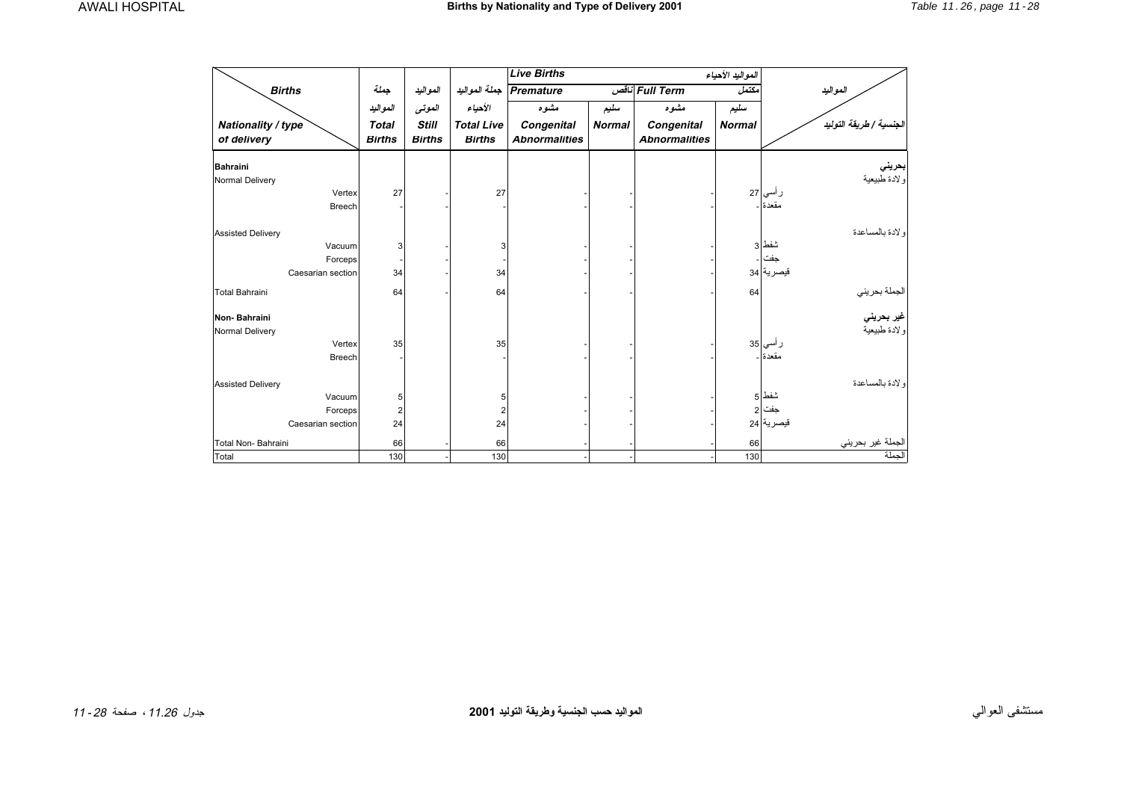<span id="page-2-0"></span>

|                          |                         |               |                   | <b>Live Births</b>   |               |                      | المواليد الأحياء |                                                           |
|--------------------------|-------------------------|---------------|-------------------|----------------------|---------------|----------------------|------------------|-----------------------------------------------------------|
| <b>Births</b>            | جملة                    | المواليد      | جملة المواليد     | <b>Premature</b>     |               | Full Term ناقص       | مكتمل            | المواليد                                                  |
|                          | المواليد                | العوتى        | الأحياء           | مشوه                 | سليم          | مشوه                 | سليم             |                                                           |
| Nationality / type       | <b>Total</b>            | <b>Still</b>  | <b>Total Live</b> | Congenital           | <b>Normal</b> | Congenital           | <b>Normal</b>    | الجنسية / طريقة التوليد                                   |
| of delivery              | <b>Births</b>           | <b>Births</b> | <b>Births</b>     | <b>Abnormalities</b> |               | <b>Abnormalities</b> |                  |                                                           |
| <b>Bahraini</b>          |                         |               |                   |                      |               |                      |                  |                                                           |
| Normal Delivery          |                         |               |                   |                      |               |                      |                  | <mark>ابحريني</mark><br>ولادة طبيعية                      |
| Vertex                   | 27                      |               | 27                |                      |               |                      |                  | ر أسي 27                                                  |
| <b>Breech</b>            |                         |               |                   |                      |               |                      |                  | مقعدة ا                                                   |
| <b>Assisted Delivery</b> |                         |               |                   |                      |               |                      |                  | و لادة بالمساعدة                                          |
| Vacuum                   | 3                       |               | 3                 |                      |               |                      |                  | شفط 3                                                     |
| Forceps                  |                         |               |                   |                      |               |                      |                  | جفت                                                       |
| Caesarian section        | 34                      |               | 34                |                      |               |                      |                  | قيصرية 34                                                 |
| Total Bahraini           | 64                      |               | 64                |                      |               |                      | 64               | الجملة بحريني<br><b>غير بحرين<i>ي</i></b><br>ولادة طبيعية |
| Non-Bahraini             |                         |               |                   |                      |               |                      |                  |                                                           |
| Normal Delivery          |                         |               |                   |                      |               |                      |                  |                                                           |
| Vertex                   | 35                      |               | 35                |                      |               |                      |                  | ر أسي <mark>35</mark>                                     |
| <b>Breech</b>            |                         |               |                   |                      |               |                      |                  | مقعدة .                                                   |
| <b>Assisted Delivery</b> |                         |               |                   |                      |               |                      |                  | و لادة بالمساعدة                                          |
| Vacuum                   | 5                       |               | 5                 |                      |               |                      |                  | شفط ا                                                     |
| Forceps                  | $\overline{\mathbf{c}}$ |               | $\overline{2}$    |                      |               |                      |                  | جفت 2                                                     |
| Caesarian section        | 24                      |               | 24                |                      |               |                      |                  | قيصرية 24                                                 |
| Total Non-Bahraini       | 66                      |               | 66                |                      |               |                      | 66               | لجم <u>لة غير بحريني</u>                                  |
| Total                    | 130                     |               | 130               |                      |               |                      | 130              |                                                           |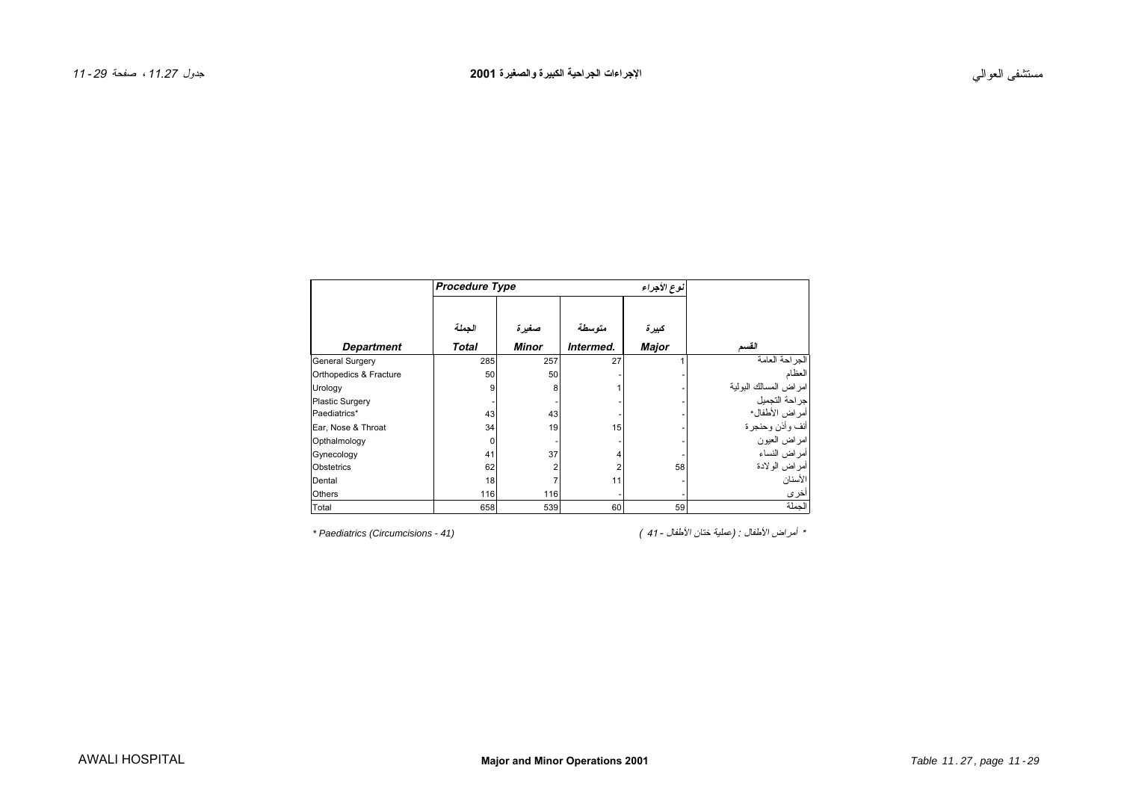<span id="page-3-0"></span>

|                        | <b>Procedure Type</b> |              |                |              |                                          |
|------------------------|-----------------------|--------------|----------------|--------------|------------------------------------------|
|                        | الجملة                | صغيرة        | متوسطة         | كبيرة        |                                          |
| <b>Department</b>      | <b>Total</b>          | <b>Minor</b> | Intermed.      | <b>Major</b> | القسم                                    |
| General Surgery        | 285                   | 257          | 27             |              | الجراحة العامة                           |
| Orthopedics & Fracture | 50                    | 50           |                |              | العظام                                   |
| Urology                | 9                     | 8            |                |              | امر اض المسالك البولية<br>جر احة التجميل |
| <b>Plastic Surgery</b> |                       |              |                |              |                                          |
| Paediatrics*           | 43                    | 43           |                |              | أمر اض الأطفال*                          |
| Ear, Nose & Throat     | 34                    | 19           | 15             |              | أنف وأذن وحنجرة                          |
| Opthalmology           | 0                     |              |                |              | امراض العيون                             |
| Gynecology             | 41                    | 37           | 4              |              | أمراض النساء                             |
| Obstetrics             | 62                    | 2            | $\overline{2}$ | 58           | أمراض الولادة                            |
| Dental                 | 18                    | 7            | 11             |              | الأسنان                                  |
| <b>Others</b>          | 116                   | 116          |                |              | أخرى                                     |
| Total                  | 658                   | 539          | 60             | 59           | الجملة                                   |

\* أمراض الأطفال : (عملية ختان الأطفال - 41 ) *(41 - Circumcisions (Paediatrics\**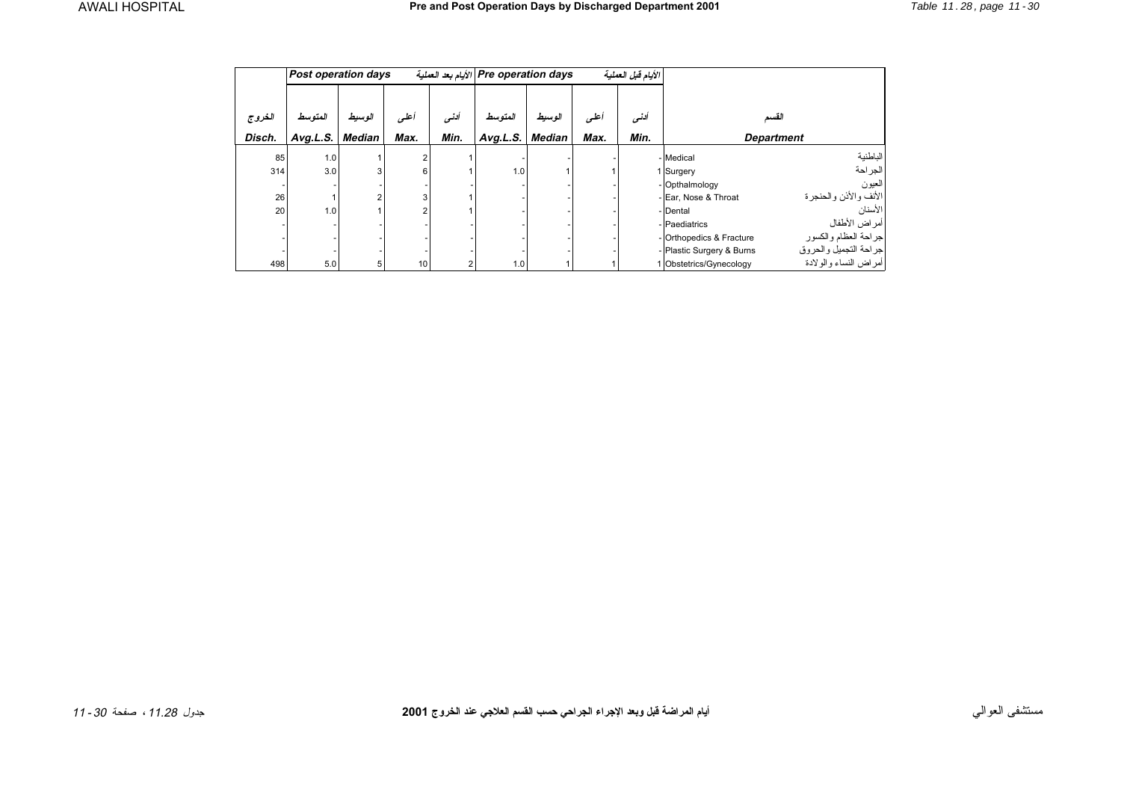<span id="page-4-0"></span>

|        | <b>Post operation days</b> |               |      |       | Pre operation days الأيام بعد العملية |        |      | الأيام قبل العملية |                           |                       |
|--------|----------------------------|---------------|------|-------|---------------------------------------|--------|------|--------------------|---------------------------|-----------------------|
| الغروج | المتوسط                    | الوسيط        | أعلى | ألنسى | المتوسط                               | الوسيط | أعلس | ألنسى              | القسم                     |                       |
| Disch. | Avg.L.S.                   | <b>Median</b> | Max. | Min.  | Avg.L.S.                              | Median | Max. | Min.               | <b>Department</b>         |                       |
| 85     | 1.0                        |               |      |       |                                       |        |      |                    | - Medical                 | الباطنية              |
| 314    | 3.0                        | 3             | 6    |       | 1.0                                   |        |      |                    | 1 Surgery                 | الجراحة               |
|        |                            |               |      |       |                                       |        |      |                    | - Opthalmology            | العيون                |
| 26     |                            |               | 3    |       |                                       |        |      |                    | - Ear, Nose & Throat      | الأنف والأذن والحنجرة |
| 20     | 1.0                        |               | 2    |       |                                       |        |      |                    | - Dental                  | الأسنان               |
|        |                            |               |      |       |                                       |        |      |                    | - Paediatrics             | أمراض الأطفال         |
|        |                            |               |      |       |                                       |        |      |                    | - Orthopedics & Fracture  | جراحة العظام والكسور  |
|        |                            |               |      |       |                                       |        |      |                    | - Plastic Surgery & Burns | جراحة التجميل والحروق |
| 498    | 5.0                        | 5             | 10   |       | 1.0                                   |        |      |                    | 1 Obstetrics/Gynecology   | أمراض النساء والولادة |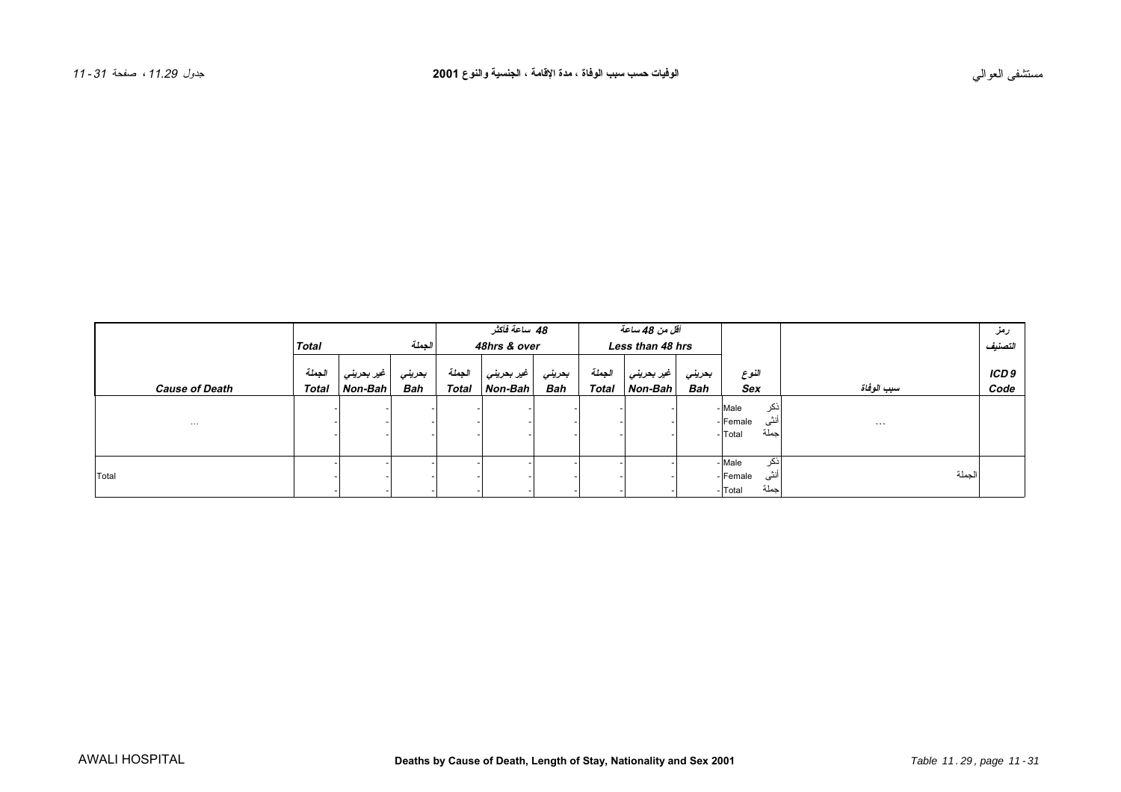<span id="page-5-0"></span>

|                       |                        |                       |               | 48 ساعة فائش           |                       |               | أقل من 48 ساعة         |                       |               |                     |                      | رمز           |
|-----------------------|------------------------|-----------------------|---------------|------------------------|-----------------------|---------------|------------------------|-----------------------|---------------|---------------------|----------------------|---------------|
|                       | Total                  |                       | الجملة        | 48hrs & over           |                       |               | Less than 48 hrs       |                       |               |                     |                      | التصنيف       |
| <b>Cause of Death</b> | الجملة<br><b>Total</b> | غیر بحرینی<br>Non-Bah | بعريني<br>Bah | الجملة<br><b>Total</b> | غیر بحرینی<br>Non-Bah | بعرينى<br>Bah | الجملة<br><b>Total</b> | غیر بحرینی<br>Non-Bah | بتريني<br>Bah | النوع<br><b>Sex</b> | سبب الوفاة           | ICD 9<br>Code |
|                       |                        |                       |               |                        |                       |               |                        |                       |               | اذكر<br>- Male      |                      |               |
| $\cdots$              |                        |                       |               |                        |                       |               |                        |                       |               | أنثى<br>- Female    | $\sim$ $\sim$ $\sim$ |               |
|                       |                        |                       |               |                        |                       |               |                        |                       |               | حملة<br>Total       |                      |               |
|                       |                        |                       |               |                        |                       |               |                        |                       |               | ذكر<br>- Male       |                      |               |
| Total                 |                        |                       |               |                        |                       |               |                        |                       |               | أنثى<br>- Female    | الجملة               |               |
|                       |                        |                       |               |                        |                       |               |                        |                       |               | جملة<br>Total       |                      |               |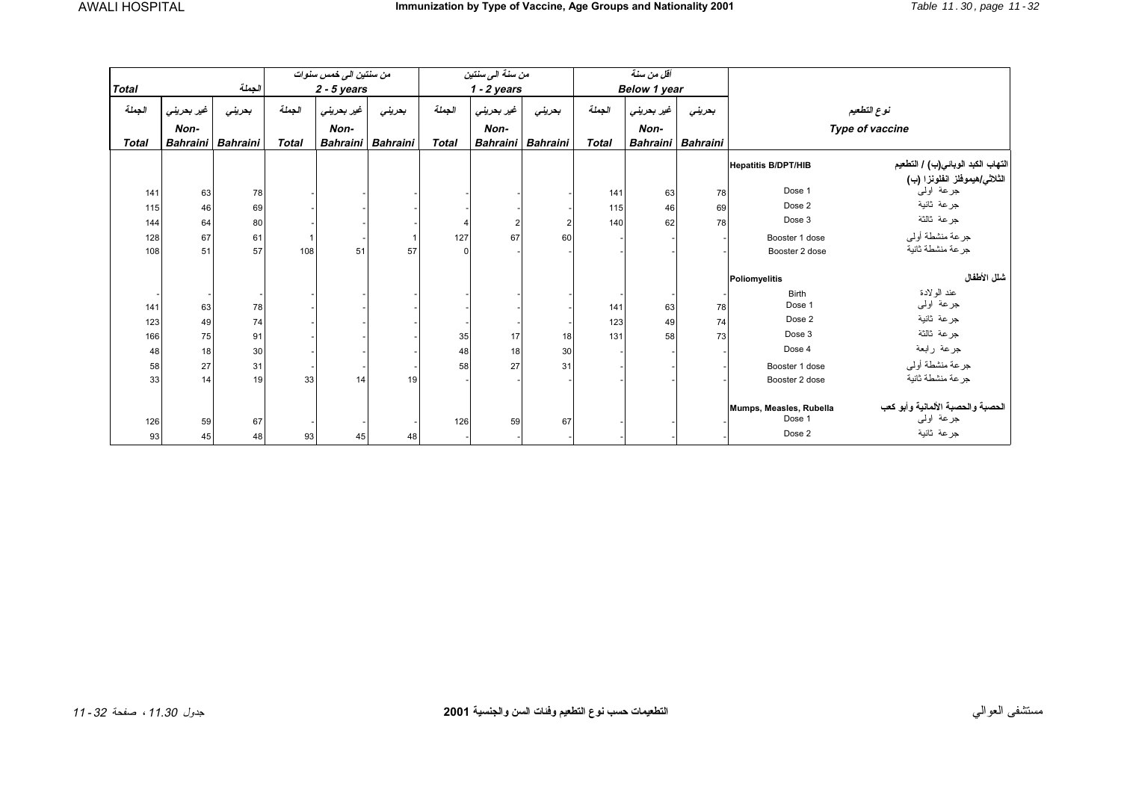<span id="page-6-0"></span>

|              |                 |                 |              | من سنتين الى خمس سنوات |                   |              | من سنة الى سنتين  |                | أقل من سنة   |                     |        |                                   |                                                                        |  |
|--------------|-----------------|-----------------|--------------|------------------------|-------------------|--------------|-------------------|----------------|--------------|---------------------|--------|-----------------------------------|------------------------------------------------------------------------|--|
| <b>Total</b> |                 | الجملة          |              | $2 - 5$ years          |                   |              | $1 - 2$ years     |                |              | <b>Below 1 year</b> |        |                                   |                                                                        |  |
| الجملة       | غير بحريني      | بعريني          | الجملة       | غير بحريني             | بحريني            | الجملة       | غير بحريني        | بحريني         | الجملة       | غير بحريني          | بحريني |                                   | نوع التطعيم                                                            |  |
|              | Non-            |                 |              | Non-                   |                   |              | Non-              |                |              | Non-                |        | Type of vaccine                   |                                                                        |  |
| <b>Total</b> | <b>Bahraini</b> | <b>Bahraini</b> | <b>Total</b> |                        | Bahraini Bahraini | <b>Total</b> | Bahraini Bahraini |                | <b>Total</b> | Bahraini Bahraini   |        |                                   |                                                                        |  |
|              |                 |                 |              |                        |                   |              |                   |                |              |                     |        | <b>Hepatitis B/DPT/HIB</b>        | التهاب الكبد الوباني(ب) / التطعيم                                      |  |
| 141          | 63              | 78              |              |                        |                   |              |                   |                | 141          | 63                  | 78     | Dose 1                            | الثلاث <i>ي هيم</i> وفلز ا <b>نفلونزا (ب)</b><br>جرعة اول <sub>ى</sub> |  |
| 115          | 46              | 69              |              |                        |                   |              |                   |                | 115          | 46                  | 69     | Dose 2                            | جر عة ثانية                                                            |  |
| 144          | 64              | 80              |              |                        |                   |              |                   | $\overline{2}$ | 140          | 62                  | 78     | Dose 3                            | جرعة ثالثة                                                             |  |
| 128          | 67              | 61              |              |                        |                   | 127          | 67                | 60             |              |                     |        | Booster 1 dose                    | جرعة منشطة أولىي                                                       |  |
| 108          | 51              | 57              | 108          | 51                     | 57                | $\Omega$     |                   |                |              |                     |        | Booster 2 dose                    | جرعة منشطة ثانية                                                       |  |
|              |                 |                 |              |                        |                   |              |                   |                |              |                     |        | Poliomyelitis                     | شلل الأطفال                                                            |  |
|              |                 |                 |              |                        |                   |              |                   |                |              |                     |        | <b>Birth</b>                      | عند الولادة                                                            |  |
| 141          | 63              | 78              |              |                        |                   |              |                   |                | 141          | 63                  | 78     | Dose 1                            | جرعة اولىي                                                             |  |
| 123          | 49              | 74              |              |                        |                   |              |                   |                | 123          | 49                  | 74     | Dose 2                            | جرعة ثانية                                                             |  |
| 166          | 75              | 91              |              |                        |                   | 35           | 17                | 18             | 131          | 58                  | 73     | Dose 3                            | جرعة ثالثة                                                             |  |
| 48           | 18              | 30              |              |                        |                   | 48           | 18                | 30             |              |                     |        | Dose 4                            | جرعة رابعة                                                             |  |
| 58           | 27              | 31              |              |                        |                   | 58           | 27                | 31             |              |                     |        | Booster 1 dose                    | جرعة منشطة أولىي                                                       |  |
| 33           | 14              | 19              | 33           | 14                     | 19                |              |                   |                |              |                     |        | Booster 2 dose                    | جر عة منشطة ثانية                                                      |  |
| 126          | 59              | 67              |              |                        |                   | 126          | 59                | 67             |              |                     |        | Mumps, Measles, Rubella<br>Dose 1 | الحصبة والحصبة الألمانية وأبو كعب<br>جرعة لولىي                        |  |
| 93           | 45              | 48              | 93           | 45                     | 48                |              |                   |                |              |                     |        | Dose 2                            | جرعة ثانية                                                             |  |